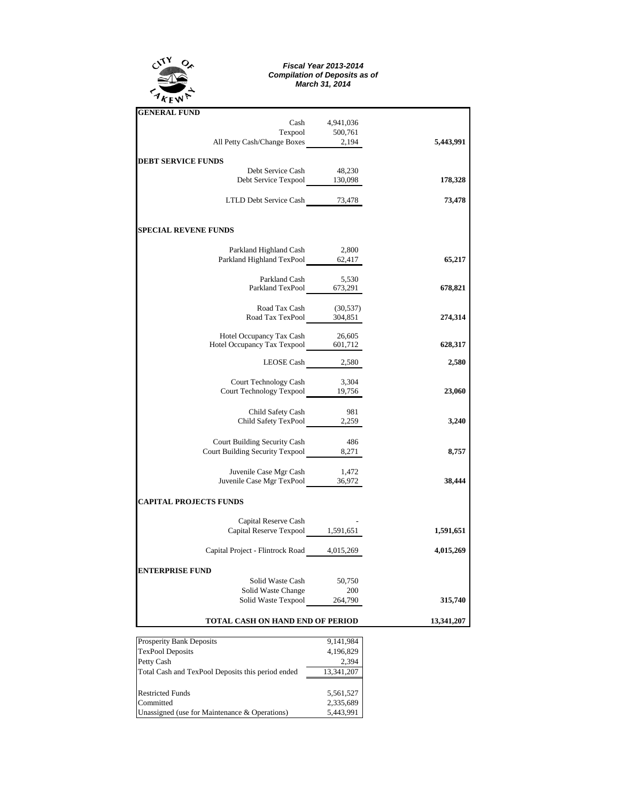

## *Fiscal Year 2013-2014 Compilation of Deposits as of March 31, 2014*

| <b>GENERAL FUND</b>                                                         |            |           |
|-----------------------------------------------------------------------------|------------|-----------|
| Cash                                                                        | 4,941,036  |           |
|                                                                             |            |           |
| Texpool 500,761<br>All Petty Cash/Change Boxes 2,194                        |            | 5,443,991 |
| <b>DEBT SERVICE FUNDS</b>                                                   |            |           |
|                                                                             |            |           |
| Debt Service Cash 48,230<br>Debt Service Texpool 130,098                    |            | 178,328   |
|                                                                             |            |           |
| LTLD Debt Service Cash 73,478                                               |            | 73,478    |
| <b>SPECIAL REVENE FUNDS</b>                                                 |            |           |
|                                                                             |            |           |
| Parkland Highland Cash                                                      | 2,800      |           |
| Parkland Highland TexPool 62,417                                            |            | 65,217    |
| Parkland Cash                                                               | 5,530      |           |
| Parkland TexPool 673,291                                                    |            | 678,821   |
|                                                                             |            |           |
| Road Tax Cash<br>Road Tax TexPool 304,851                                   | (30, 537)  | 274,314   |
|                                                                             |            |           |
| Hotel Occupancy Tax Cash                                                    | 26,605     |           |
| Hotel Occupancy Tax Cash 26,605<br>Hotel Occupancy Tax Texpool 601,712      |            | 628,317   |
| LEOSE Cash 2,580                                                            |            | 2,580     |
|                                                                             |            |           |
| Court Technology Cash 3,304<br>Court Technology Texpool 19,756              |            | 23,060    |
|                                                                             |            |           |
| Child Safety Cash                                                           | 981        |           |
| Child Safety TexPool 2,259                                                  |            | 3,240     |
| Court Building Security Cash                                                | -486       |           |
| Court Building Security Texpool 8,271                                       |            | 8,757     |
|                                                                             |            |           |
| Juvenile Case Mgr Cash 1,472<br>Juvenile Case Mgr TexPool 36,972            |            |           |
|                                                                             |            | 38,444    |
| <b>CAPITAL PROJECTS FUNDS</b>                                               |            |           |
| Capital Reserve Cash                                                        |            |           |
| Capital Reserve Cash<br>Capital Reserve Texpool 1,591,651                   |            | 1,591,651 |
| Capital Project - Flintrock Road 4,015,269                                  |            | 4,015,269 |
|                                                                             |            |           |
| <b>ENTERPRISE FUND</b>                                                      |            |           |
| Solid Waste Cash                                                            | 50,750     |           |
| Solid Waste Change<br>Solid Waste Change 200<br>Solid Waste Texpool 264,790 | 200        |           |
|                                                                             |            | 315,740   |
| TOTAL CASH ON HAND END OF PERIOD                                            | 13,341,207 |           |

| <b>Prosperity Bank Deposits</b>                   | 9,141,984  |
|---------------------------------------------------|------------|
| <b>TexPool Deposits</b>                           | 4,196,829  |
| Petty Cash                                        | 2.394      |
| Total Cash and TexPool Deposits this period ended | 13,341,207 |
|                                                   |            |
| <b>Restricted Funds</b>                           | 5,561,527  |
| Committed                                         | 2,335,689  |
| Unassigned (use for Maintenance & Operations)     | 5,443,991  |